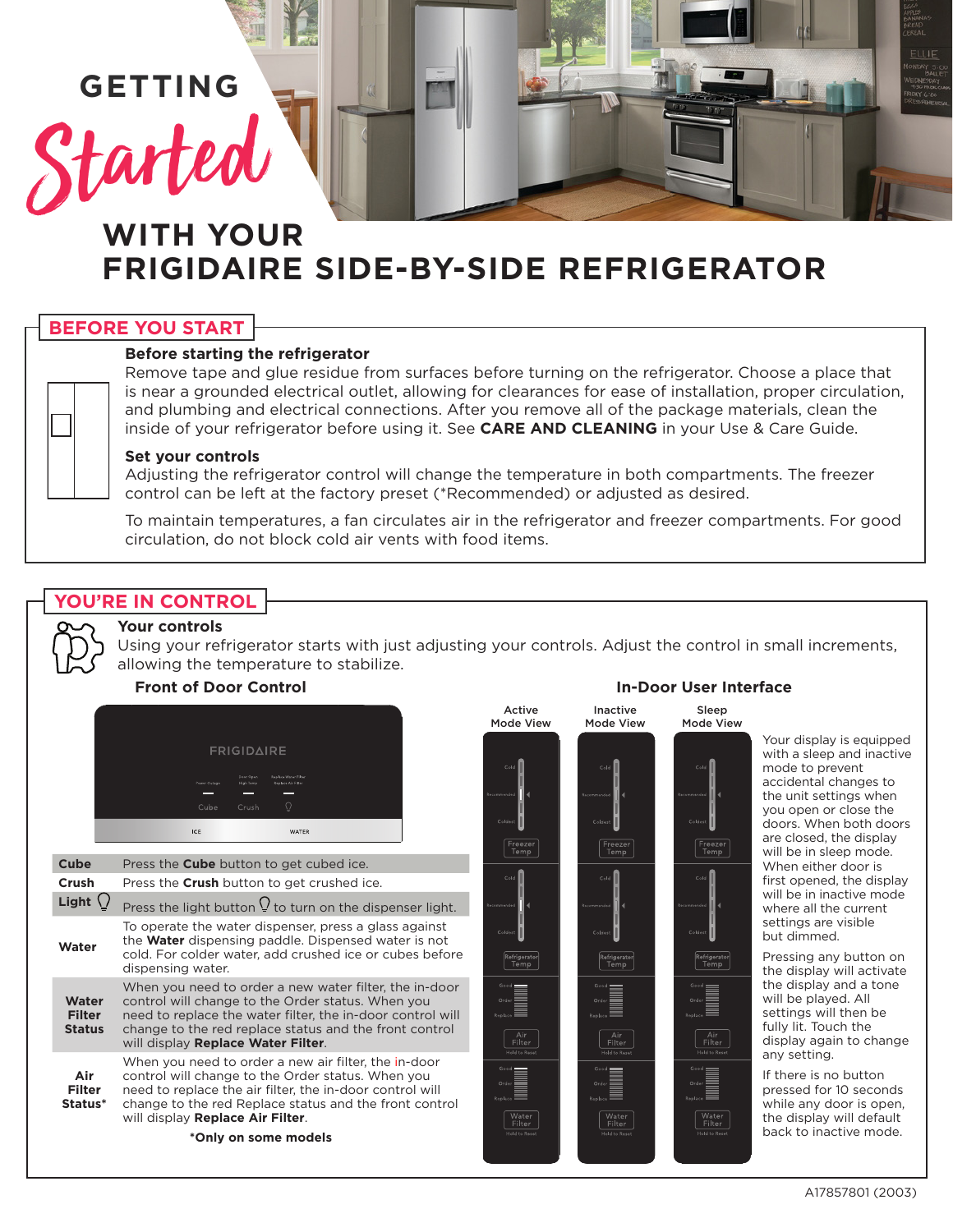# **GETTING**

Started

# **WITH YOUR FRIGIDAIRE SIDE-BY-SIDE REFRIGERATOR**

# **BEFORE YOU START**

#### **Before starting the refrigerator**

Remove tape and glue residue from surfaces before turning on the refrigerator. Choose a place that is near a grounded electrical outlet, allowing for clearances for ease of installation, proper circulation, and plumbing and electrical connections. After you remove all of the package materials, clean the inside of your refrigerator before using it. See **CARE AND CLEANING** in your Use & Care Guide.

#### **Set your controls**

Adjusting the refrigerator control will change the temperature in both compartments. The freezer control can be left at the factory preset (\*Recommended) or adjusted as desired.

To maintain temperatures, a fan circulates air in the refrigerator and freezer compartments. For good circulation, do not block cold air vents with food items.

# **YOU'RE IN CONTROL**

#### **Your controls**

Using your refrigerator starts with just adjusting your controls. Adjust the control in small increments, allowing the temperature to stabilize.



| Cube                                    | Press the <b>Cube</b> button to get cubed ice.                                                                                                                                                                                                                            |
|-----------------------------------------|---------------------------------------------------------------------------------------------------------------------------------------------------------------------------------------------------------------------------------------------------------------------------|
| Crush                                   | Press the Crush button to get crushed ice.                                                                                                                                                                                                                                |
| Light                                   | Press the light button $\Omega$ to turn on the dispenser light.                                                                                                                                                                                                           |
| Water                                   | To operate the water dispenser, press a glass against<br>the <b>Water</b> dispensing paddle. Dispensed water is not<br>cold. For colder water, add crushed ice or cubes before<br>dispensing water.                                                                       |
| Water<br><b>Filter</b><br><b>Status</b> | When you need to order a new water filter, the in-door<br>control will change to the Order status. When you<br>need to replace the water filter, the in-door control will<br>change to the red replace status and the front control<br>will display Replace Water Filter. |
| Air<br><b>Filter</b><br>Status*         | When you need to order a new air filter, the in-door<br>control will change to the Order status. When you<br>need to replace the air filter, the in-door control will<br>change to the red Replace status and the front control<br>will display Replace Air Filter.       |
| *Only on some models                    |                                                                                                                                                                                                                                                                           |



# Sleep

Freeze<br>Temp

Air<br>Filter

water<br>Filter

Your display is equipped with a sleep and inactive mode to prevent accidental changes to the unit settings when you open or close the doors. When both doors are closed, the display will be in sleep mode. When either door is first opened, the display will be in inactive mode where all the current settings are visible but dimmed.

Pressing any button on the display will activate the display and a tone will be played. All settings will then be fully lit. Touch the display again to change any setting.

If there is no button pressed for 10 seconds while any door is open, the display will default back to inactive mode.